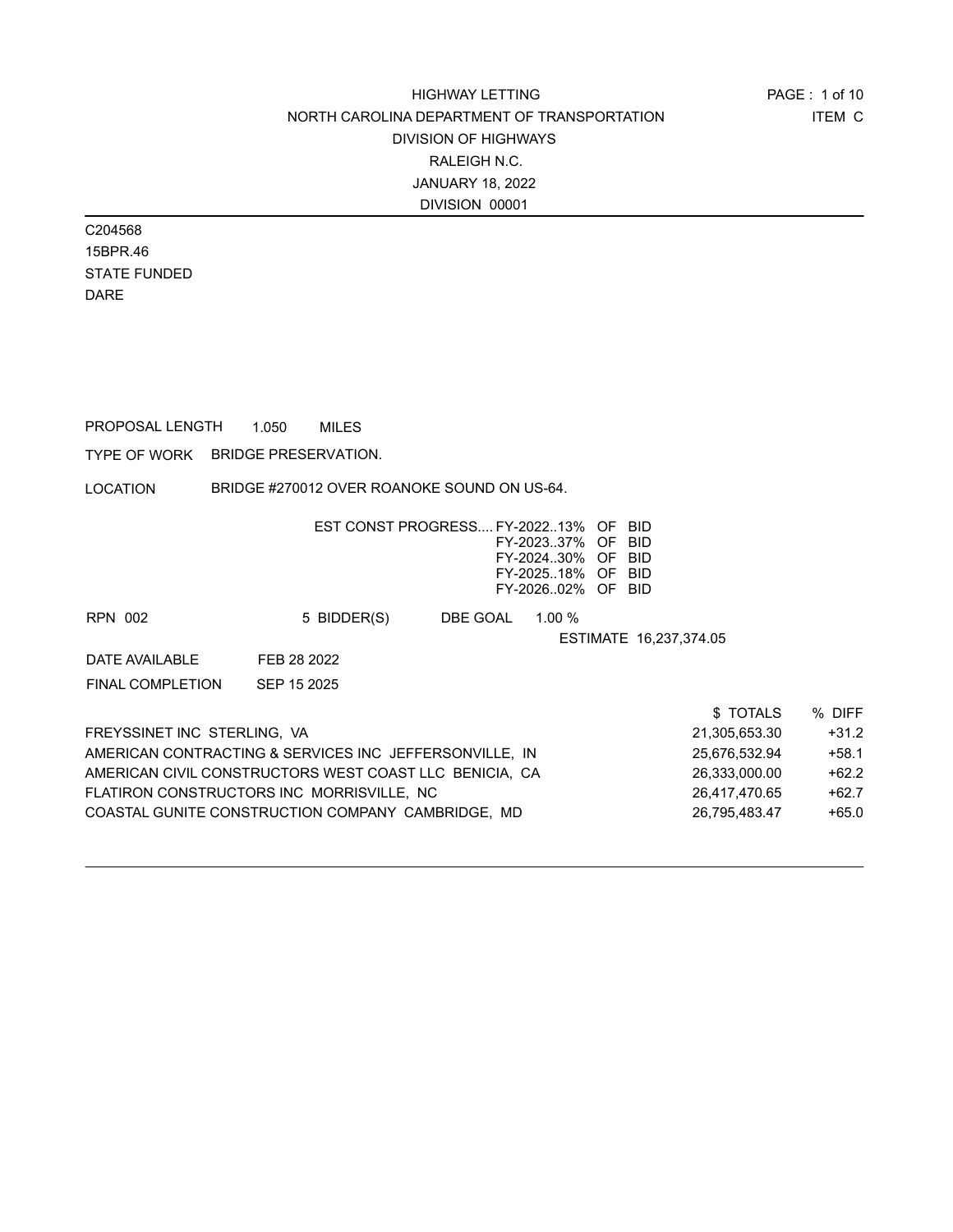C204568 15BPR.46 STATE FUNDED DARE

PROPOSAL LENGTH 1.050 MILES

TYPE OF WORK BRIDGE PRESERVATION.

LOCATION BRIDGE #270012 OVER ROANOKE SOUND ON US-64.

|                             | EST CONST PROGRESS FY-202213%                          |          | FY-202337%<br>FY-202430%<br>FY-202518%<br>FY-202602% | OF<br>- OF<br>- OF<br>- OF<br>OF. | <b>BID</b><br>BID<br>-BID<br>-BID<br>BID |         |
|-----------------------------|--------------------------------------------------------|----------|------------------------------------------------------|-----------------------------------|------------------------------------------|---------|
| RPN 002                     | 5 BIDDER(S)                                            | DBE GOAL | $1.00 \%$                                            |                                   |                                          |         |
|                             |                                                        |          |                                                      |                                   | ESTIMATE 16,237,374.05                   |         |
| DATE AVAILABLE              | FEB 28 2022                                            |          |                                                      |                                   |                                          |         |
| <b>FINAL COMPLETION</b>     | SEP 15 2025                                            |          |                                                      |                                   |                                          |         |
|                             |                                                        |          |                                                      |                                   | \$TOTALS                                 | % DIFF  |
| FREYSSINET INC STERLING, VA |                                                        |          |                                                      |                                   | 21,305,653.30                            | $+31.2$ |
|                             | AMERICAN CONTRACTING & SERVICES INC JEFFERSONVILLE. IN |          |                                                      |                                   | 25,676,532.94                            | $+58.1$ |
|                             | AMERICAN CIVIL CONSTRUCTORS WEST COAST LLC BENICIA. CA |          |                                                      |                                   | 26,333,000.00                            | $+62.2$ |
|                             | FLATIRON CONSTRUCTORS INC MORRISVILLE, NC              |          |                                                      |                                   | 26.417.470.65                            | $+62.7$ |

COASTAL GUNITE CONSTRUCTION COMPANY CAMBRIDGE, MD
<br>  $26,795,483.47$   $+65.0$ 

ITEM C PAGE : 1 of 10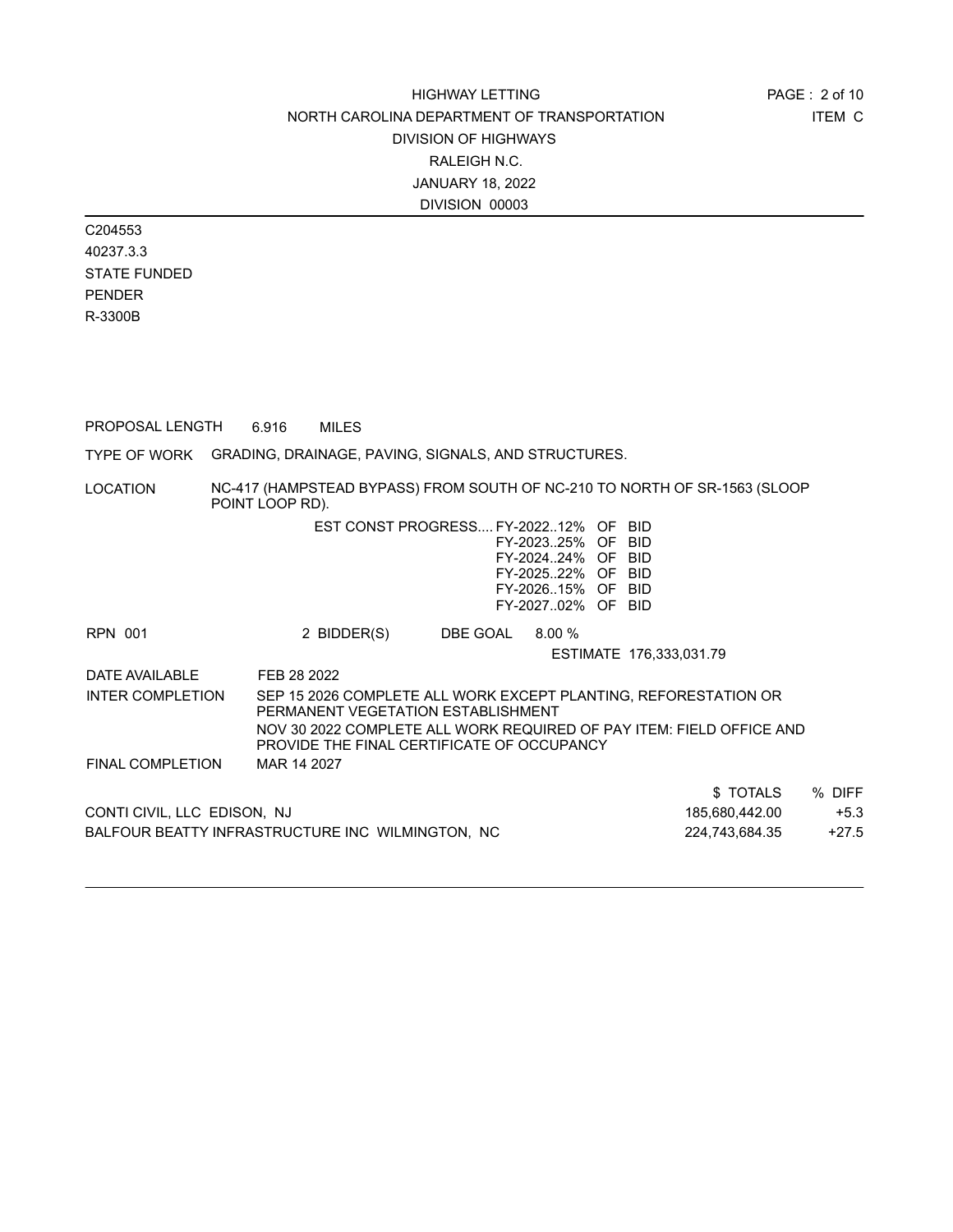C204553 40237.3.3 STATE FUNDED PENDER R-3300B

PROPOSAL LENGTH 6.916 MILES

TYPE OF WORK GRADING, DRAINAGE, PAVING, SIGNALS, AND STRUCTURES.

LOCATION NC-417 (HAMPSTEAD BYPASS) FROM SOUTH OF NC-210 TO NORTH OF SR-1563 (SLOOP POINT LOOP RD).

|                                                  | EST CONST PROGRESS FY-202212% OF BID                                                                                                                |                 | FY-202325% OF BID<br>FY-202424% OF BID<br>FY-202522% OF BID<br>FY-202615% OF BID<br>FY-202702% OF BID |                                                                      |         |
|--------------------------------------------------|-----------------------------------------------------------------------------------------------------------------------------------------------------|-----------------|-------------------------------------------------------------------------------------------------------|----------------------------------------------------------------------|---------|
| RPN 001                                          | 2 BIDDER(S)                                                                                                                                         | DBE GOAL 8.00 % |                                                                                                       |                                                                      |         |
|                                                  |                                                                                                                                                     |                 |                                                                                                       | ESTIMATE 176,333,031.79                                              |         |
| DATE AVAILABLE                                   | FEB 28 2022                                                                                                                                         |                 |                                                                                                       |                                                                      |         |
| <b>INTER COMPLETION</b>                          | SEP 15 2026 COMPLETE ALL WORK EXCEPT PLANTING, REFORESTATION OR<br>PERMANENT VEGETATION ESTABLISHMENT<br>PROVIDE THE FINAL CERTIFICATE OF OCCUPANCY |                 |                                                                                                       | NOV 30 2022 COMPLETE ALL WORK REQUIRED OF PAY ITEM: FIELD OFFICE AND |         |
| <b>FINAL COMPLETION</b>                          | MAR 14 2027                                                                                                                                         |                 |                                                                                                       |                                                                      |         |
|                                                  |                                                                                                                                                     |                 |                                                                                                       | \$ TOTALS                                                            | % DIFF  |
| CONTI CIVIL, LLC EDISON, NJ                      |                                                                                                                                                     |                 |                                                                                                       | 185,680,442.00                                                       | $+5.3$  |
| BALFOUR BEATTY INFRASTRUCTURE INC WILMINGTON. NC |                                                                                                                                                     |                 |                                                                                                       | 224.743.684.35                                                       | $+27.5$ |
|                                                  |                                                                                                                                                     |                 |                                                                                                       |                                                                      |         |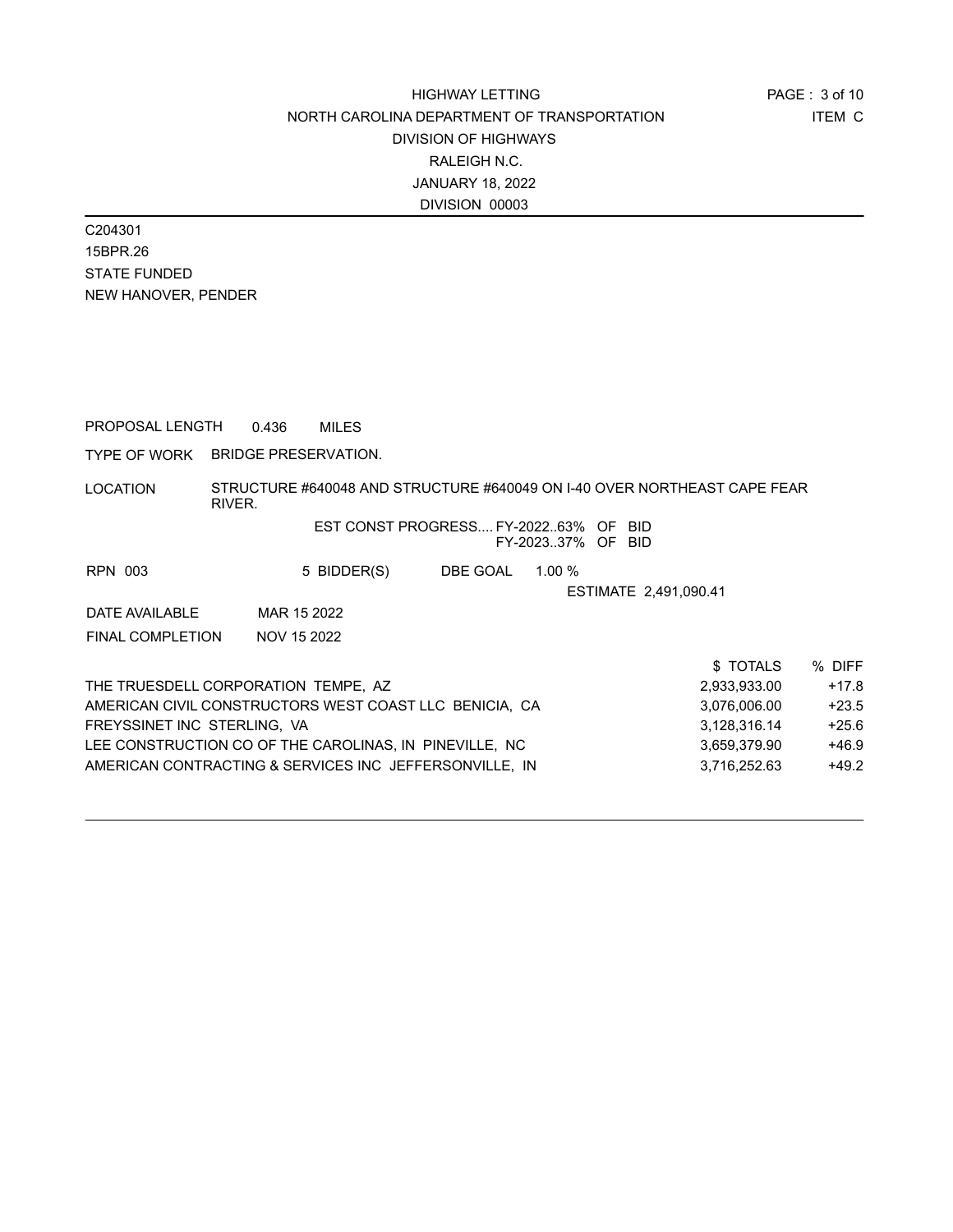C204301 15BPR.26 STATE FUNDED NEW HANOVER, PENDER

PROPOSAL LENGTH 0.436 MILES

TYPE OF WORK BRIDGE PRESERVATION.

LOCATION STRUCTURE #640048 AND STRUCTURE #640049 ON I-40 OVER NORTHEAST CAPE FEAR RIVER.

### EST CONST PROGRESS.... FY-2022..63% OF BID FY-2023..37% OF BID

| RPN 003        | 5 BIDDER(S) | DBE GOAL | 1.00 $%$              |
|----------------|-------------|----------|-----------------------|
|                |             |          | ESTIMATE 2.491.090.41 |
| DATE AVAILABLE | MAR 15 2022 |          |                       |

FINAL COMPLETION NOV 15 2022

|                                                        | \$TOTALS     | % DIFF  |
|--------------------------------------------------------|--------------|---------|
| THE TRUESDELL CORPORATION TEMPE. AZ                    | 2,933,933.00 | $+17.8$ |
| AMERICAN CIVIL CONSTRUCTORS WEST COAST LLC BENICIA. CA | 3,076,006.00 | $+23.5$ |
| FREYSSINET INC STERLING. VA                            | 3.128.316.14 | $+25.6$ |
| LEE CONSTRUCTION CO OF THE CAROLINAS. IN PINEVILLE. NC | 3.659.379.90 | $+46.9$ |
| AMERICAN CONTRACTING & SERVICES INC JEFFERSONVILLE, IN | 3.716.252.63 | $+49.2$ |
|                                                        |              |         |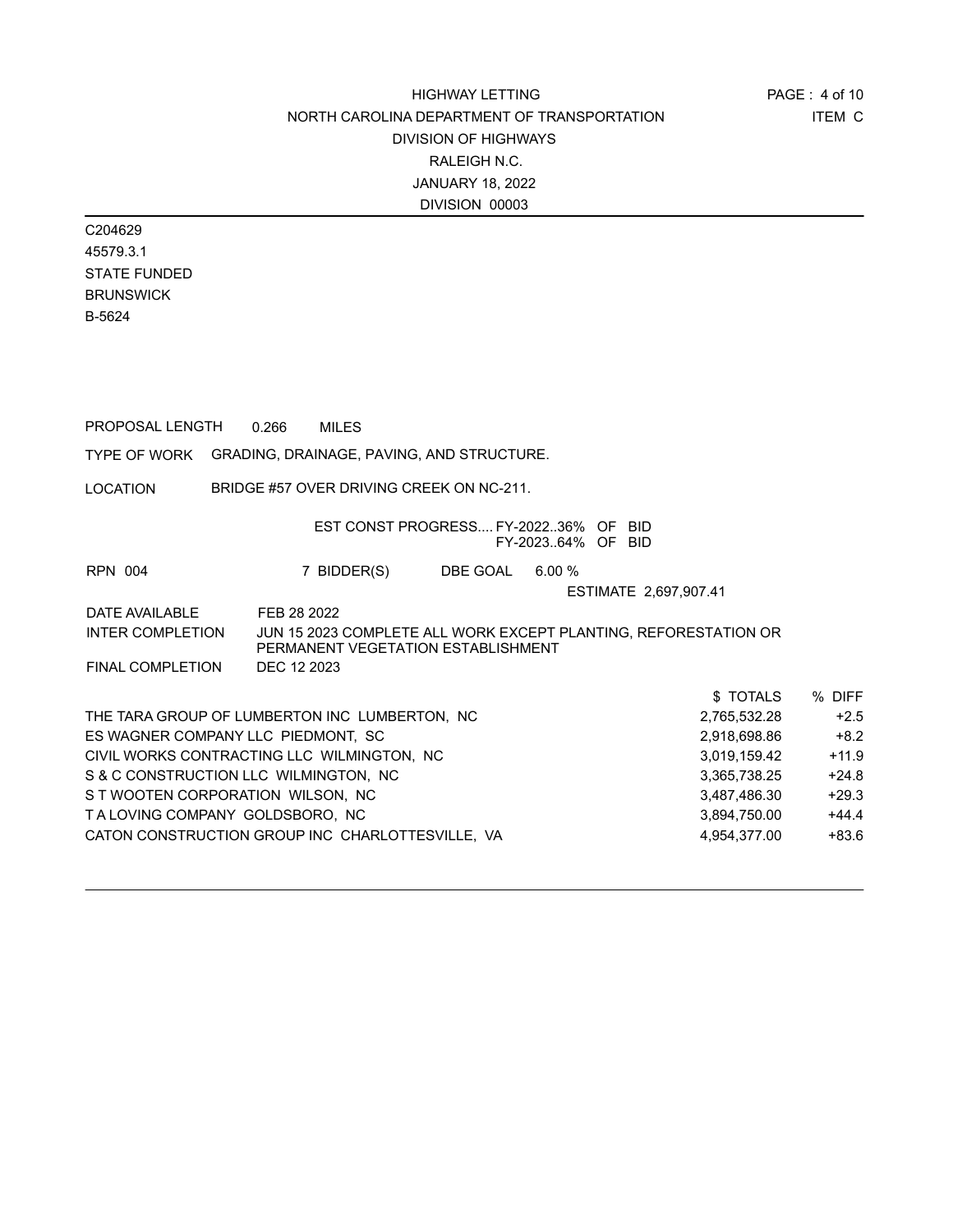ITEM C PAGE : 4 of 10

C204629 45579.3.1 STATE FUNDED BRUNSWICK B-5624

| PROPOSAL LENGTH                                        | 0.266       | <b>MILES</b>                                                                                          |                 |                   |                       |              |         |
|--------------------------------------------------------|-------------|-------------------------------------------------------------------------------------------------------|-----------------|-------------------|-----------------------|--------------|---------|
| TYPE OF WORK GRADING, DRAINAGE, PAVING, AND STRUCTURE. |             |                                                                                                       |                 |                   |                       |              |         |
| LOCATION                                               |             | BRIDGE #57 OVER DRIVING CREEK ON NC-211.                                                              |                 |                   |                       |              |         |
|                                                        |             | EST CONST PROGRESS FY-202236% OF BID                                                                  |                 | FY-202364% OF BID |                       |              |         |
| RPN 004                                                |             | 7 BIDDER(S)                                                                                           | DBE GOAL 6.00 % |                   |                       |              |         |
|                                                        |             |                                                                                                       |                 |                   | ESTIMATE 2,697,907.41 |              |         |
| DATE AVAILABLE                                         | FEB 28 2022 |                                                                                                       |                 |                   |                       |              |         |
| INTER COMPLETION                                       |             | JUN 15 2023 COMPLETE ALL WORK EXCEPT PLANTING, REFORESTATION OR<br>PERMANENT VEGETATION ESTABLISHMENT |                 |                   |                       |              |         |
| FINAL COMPLETION                                       | DEC 12 2023 |                                                                                                       |                 |                   |                       |              |         |
|                                                        |             |                                                                                                       |                 |                   |                       | \$ TOTALS    | % DIFF  |
| THE TARA GROUP OF LUMBERTON INC LUMBERTON, NC          |             |                                                                                                       |                 |                   |                       | 2,765,532.28 | $+2.5$  |
| ES WAGNER COMPANY LLC PIEDMONT, SC                     |             |                                                                                                       |                 |                   |                       | 2,918,698.86 | $+8.2$  |
| CIVIL WORKS CONTRACTING LLC WILMINGTON, NC             |             |                                                                                                       |                 |                   |                       | 3,019,159.42 | $+11.9$ |
| S & C CONSTRUCTION LLC WILMINGTON, NC                  |             |                                                                                                       |                 |                   |                       | 3,365,738.25 | $+24.8$ |
| S T WOOTEN CORPORATION WILSON, NC                      |             |                                                                                                       |                 |                   |                       | 3,487,486.30 | $+29.3$ |
| TALOVING COMPANY GOLDSBORO, NC                         |             |                                                                                                       |                 |                   |                       | 3,894,750.00 | $+44.4$ |
| CATON CONSTRUCTION GROUP INC CHARLOTTESVILLE, VA       |             |                                                                                                       |                 |                   |                       | 4,954,377.00 | $+83.6$ |
|                                                        |             |                                                                                                       |                 |                   |                       |              |         |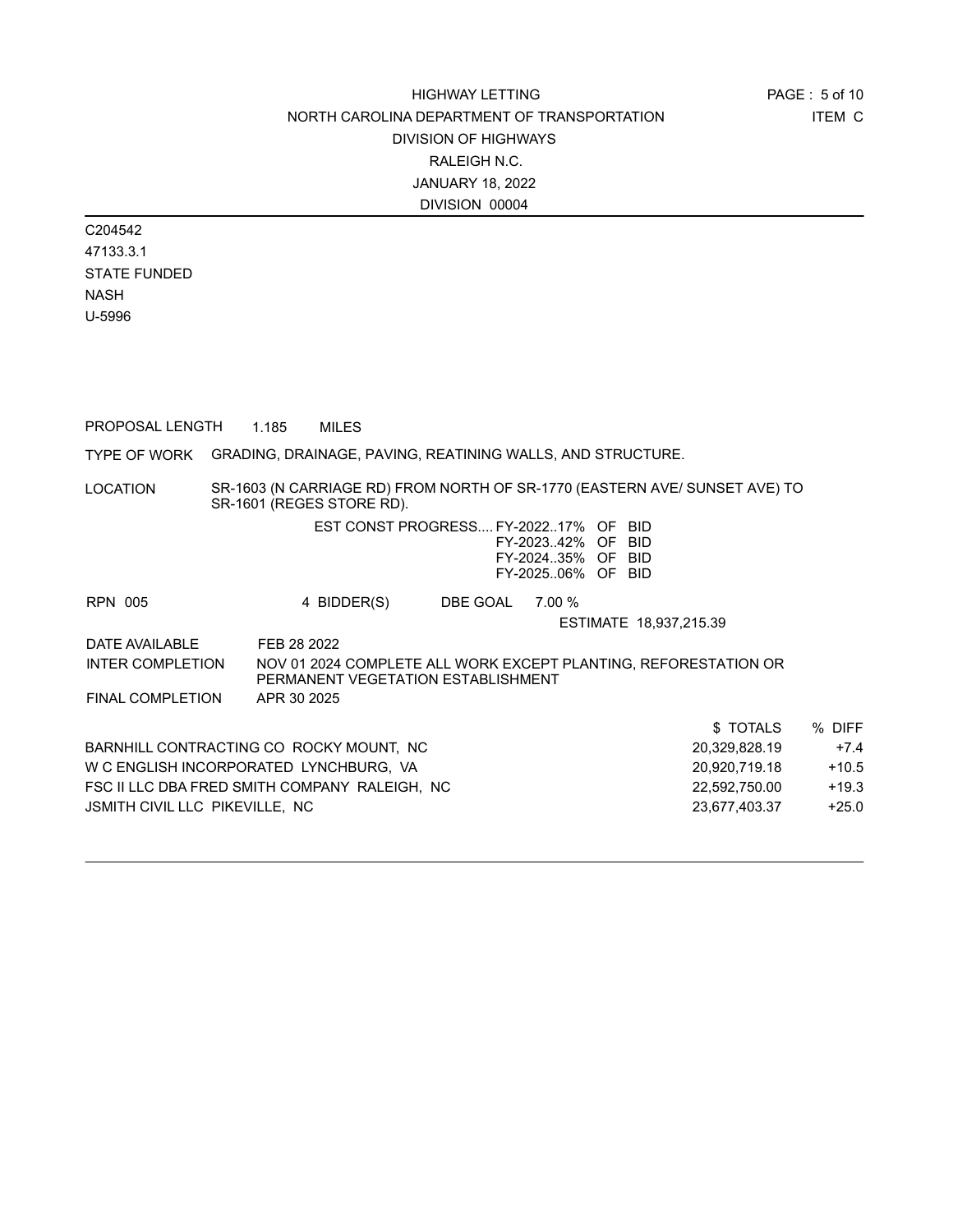C204542 47133.3.1 STATE FUNDED NASH U-5996

| PROPOSAL LENGTH                                                         | 1.185       | <b>MILES</b>                                                                                            |  |                 |                                                             |                        |               |          |         |
|-------------------------------------------------------------------------|-------------|---------------------------------------------------------------------------------------------------------|--|-----------------|-------------------------------------------------------------|------------------------|---------------|----------|---------|
| TYPE OF WORK GRADING, DRAINAGE, PAVING, REATINING WALLS, AND STRUCTURE. |             |                                                                                                         |  |                 |                                                             |                        |               |          |         |
| LOCATION                                                                |             | SR-1603 (N CARRIAGE RD) FROM NORTH OF SR-1770 (EASTERN AVE/ SUNSET AVE) TO<br>SR-1601 (REGES STORE RD). |  |                 |                                                             |                        |               |          |         |
|                                                                         |             | EST CONST PROGRESS FY-202217% OF BID                                                                    |  |                 | FY-202342% OF BID<br>FY-202435% OF BID<br>FY-202506% OF BID |                        |               |          |         |
| <b>RPN 005</b>                                                          |             | 4 BIDDER(S)                                                                                             |  | DBE GOAL 7.00 % |                                                             | ESTIMATE 18,937,215.39 |               |          |         |
| DATE AVAILABLE                                                          | FEB 28 2022 |                                                                                                         |  |                 |                                                             |                        |               |          |         |
| <b>INTER COMPLETION</b>                                                 |             | NOV 01 2024 COMPLETE ALL WORK EXCEPT PLANTING, REFORESTATION OR<br>PERMANENT VEGETATION ESTABLISHMENT   |  |                 |                                                             |                        |               |          |         |
| <b>FINAL COMPLETION</b>                                                 | APR 30 2025 |                                                                                                         |  |                 |                                                             |                        |               |          |         |
|                                                                         |             |                                                                                                         |  |                 |                                                             |                        |               | \$TOTALS | % DIFF  |
| BARNHILL CONTRACTING CO ROCKY MOUNT, NC                                 |             |                                                                                                         |  |                 |                                                             |                        | 20,329,828.19 |          | $+7.4$  |
| W C ENGLISH INCORPORATED LYNCHBURG, VA                                  |             |                                                                                                         |  |                 |                                                             |                        | 20,920,719.18 |          | $+10.5$ |
| FSC II LLC DBA FRED SMITH COMPANY RALEIGH, NC                           |             |                                                                                                         |  |                 |                                                             |                        | 22,592,750.00 |          | $+19.3$ |
| JSMITH CIVIL LLC PIKEVILLE, NC                                          |             |                                                                                                         |  |                 |                                                             |                        | 23,677,403.37 |          | $+25.0$ |
|                                                                         |             |                                                                                                         |  |                 |                                                             |                        |               |          |         |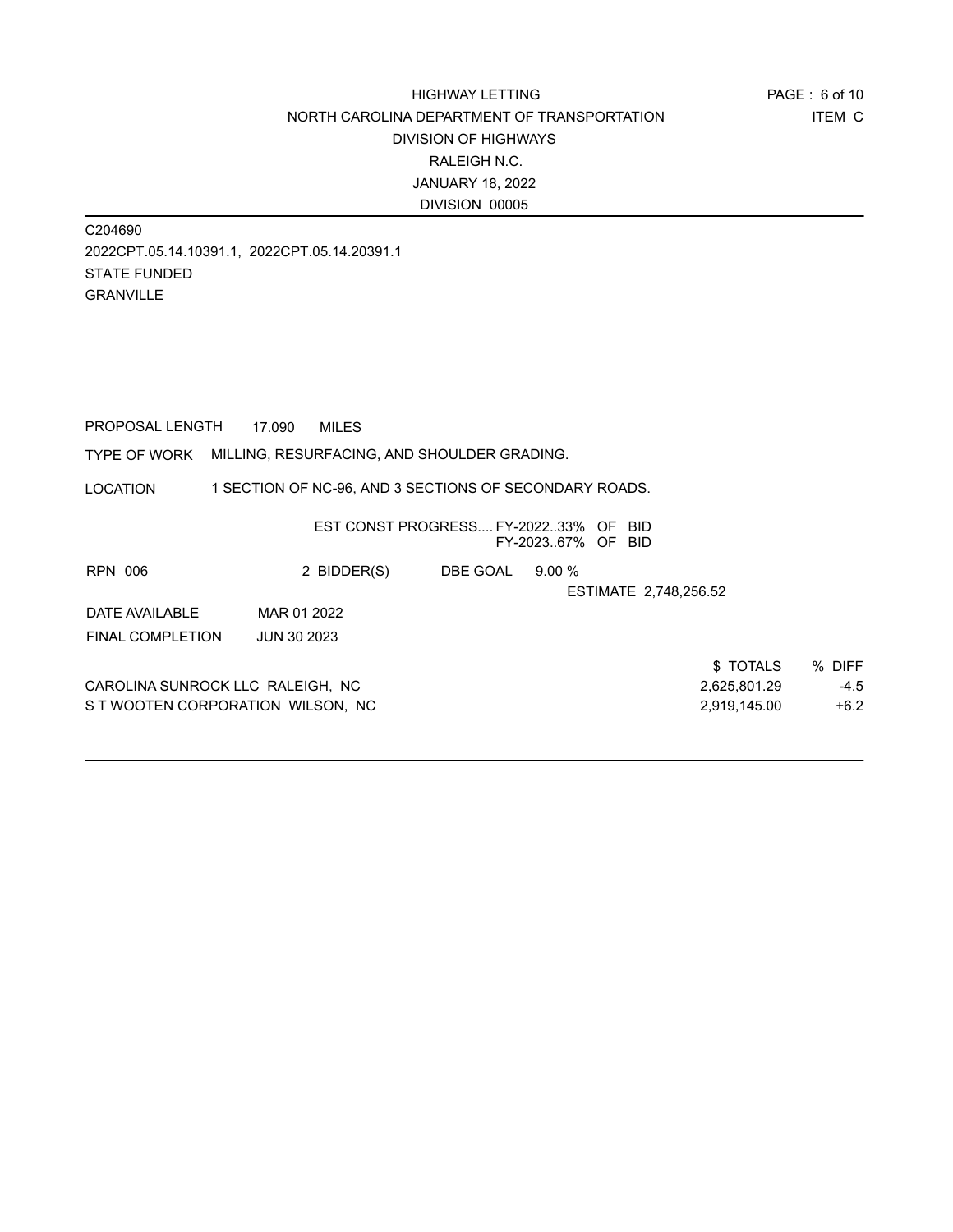C204690 2022CPT.05.14.10391.1, 2022CPT.05.14.20391.1 STATE FUNDED GRANVILLE

PROPOSAL LENGTH 17.090 MILES

TYPE OF WORK MILLING, RESURFACING, AND SHOULDER GRADING.

LOCATION 1 SECTION OF NC-96, AND 3 SECTIONS OF SECONDARY ROADS.

|                                   |                    | EST CONST PROGRESS FY-202233% OF BID | FY-202367% OF BID |                       |        |
|-----------------------------------|--------------------|--------------------------------------|-------------------|-----------------------|--------|
| <b>RPN 006</b>                    | 2 BIDDER(S)        | DBE GOAL                             | $9.00\%$          |                       |        |
|                                   |                    |                                      |                   | ESTIMATE 2,748,256.52 |        |
| DATE AVAILABLE                    | MAR 01 2022        |                                      |                   |                       |        |
| <b>FINAL COMPLETION</b>           | <b>JUN 30 2023</b> |                                      |                   |                       |        |
|                                   |                    |                                      |                   | \$TOTALS              | % DIFF |
| CAROLINA SUNROCK LLC RALEIGH, NC  |                    |                                      |                   | 2,625,801.29          | $-4.5$ |
| S T WOOTEN CORPORATION WILSON. NC |                    |                                      |                   | 2,919,145.00          | $+6.2$ |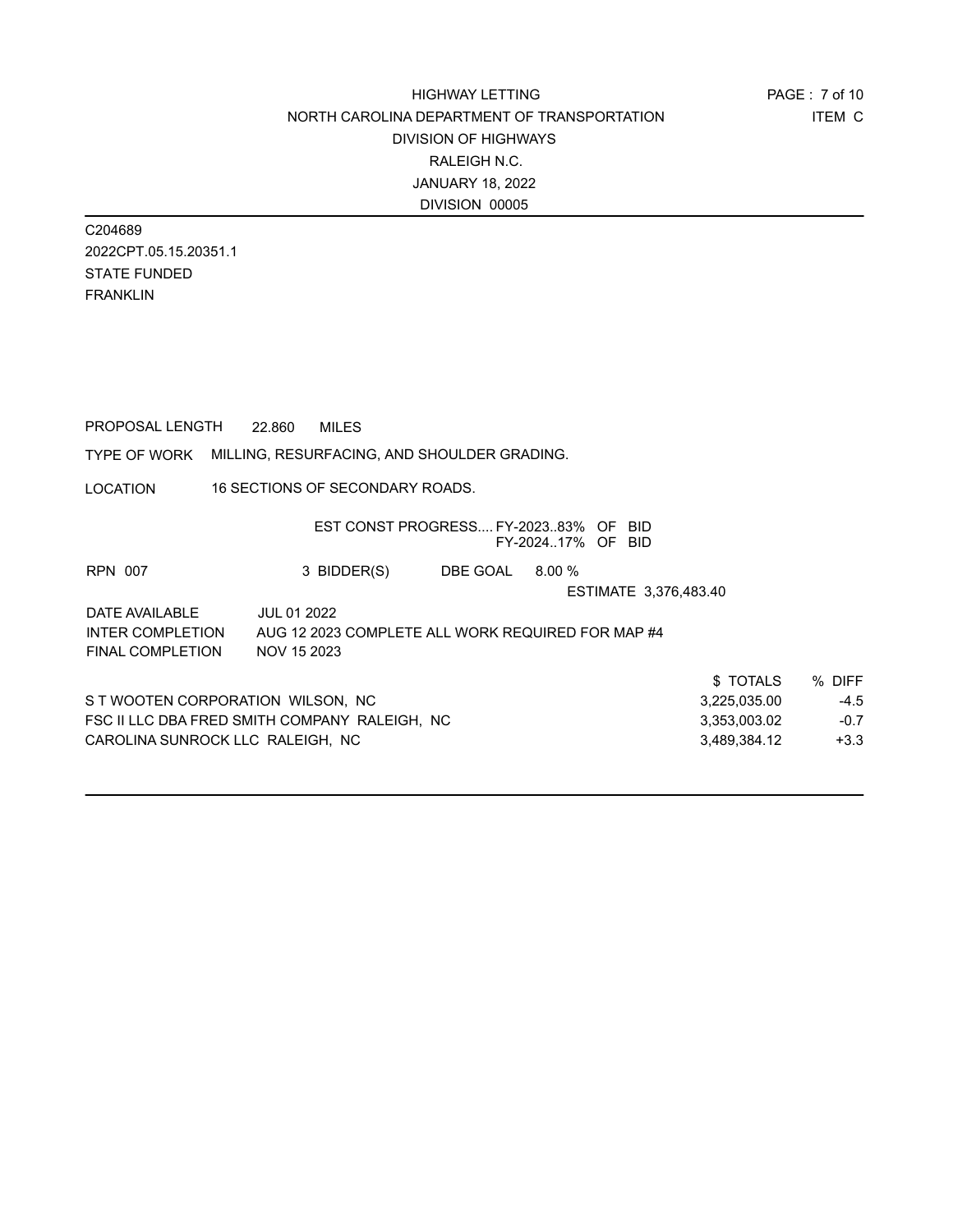C204689 2022CPT.05.15.20351.1 STATE FUNDED FRANKLIN

PROPOSAL LENGTH 22.860 MILES

### TYPE OF WORK MILLING, RESURFACING, AND SHOULDER GRADING.

LOCATION 16 SECTIONS OF SECONDARY ROADS.

|                                   | EST CONST PROGRESS FY-202383% OF BID              |          | FY-202417% OF BID |                       |              |        |
|-----------------------------------|---------------------------------------------------|----------|-------------------|-----------------------|--------------|--------|
| <b>RPN 007</b>                    | 3 BIDDER(S)                                       | DBE GOAL | 8.00%             |                       |              |        |
|                                   |                                                   |          |                   | ESTIMATE 3.376.483.40 |              |        |
| DATE AVAILABLE                    | JUL 01 2022                                       |          |                   |                       |              |        |
| <b>INTER COMPLETION</b>           | AUG 12 2023 COMPLETE ALL WORK REQUIRED FOR MAP #4 |          |                   |                       |              |        |
| <b>FINAL COMPLETION</b>           | NOV 15 2023                                       |          |                   |                       |              |        |
|                                   |                                                   |          |                   |                       | \$TOTALS     | % DIFF |
| S T WOOTEN CORPORATION WILSON, NC |                                                   |          |                   |                       | 3,225,035.00 | $-4.5$ |
|                                   | FSC II LLC DBA FRED SMITH COMPANY RALEIGH, NC     |          |                   |                       | 3,353,003.02 | $-0.7$ |
| CAROLINA SUNROCK LLC RALEIGH, NC  |                                                   |          |                   |                       | 3.489.384.12 | $+3.3$ |
|                                   |                                                   |          |                   |                       |              |        |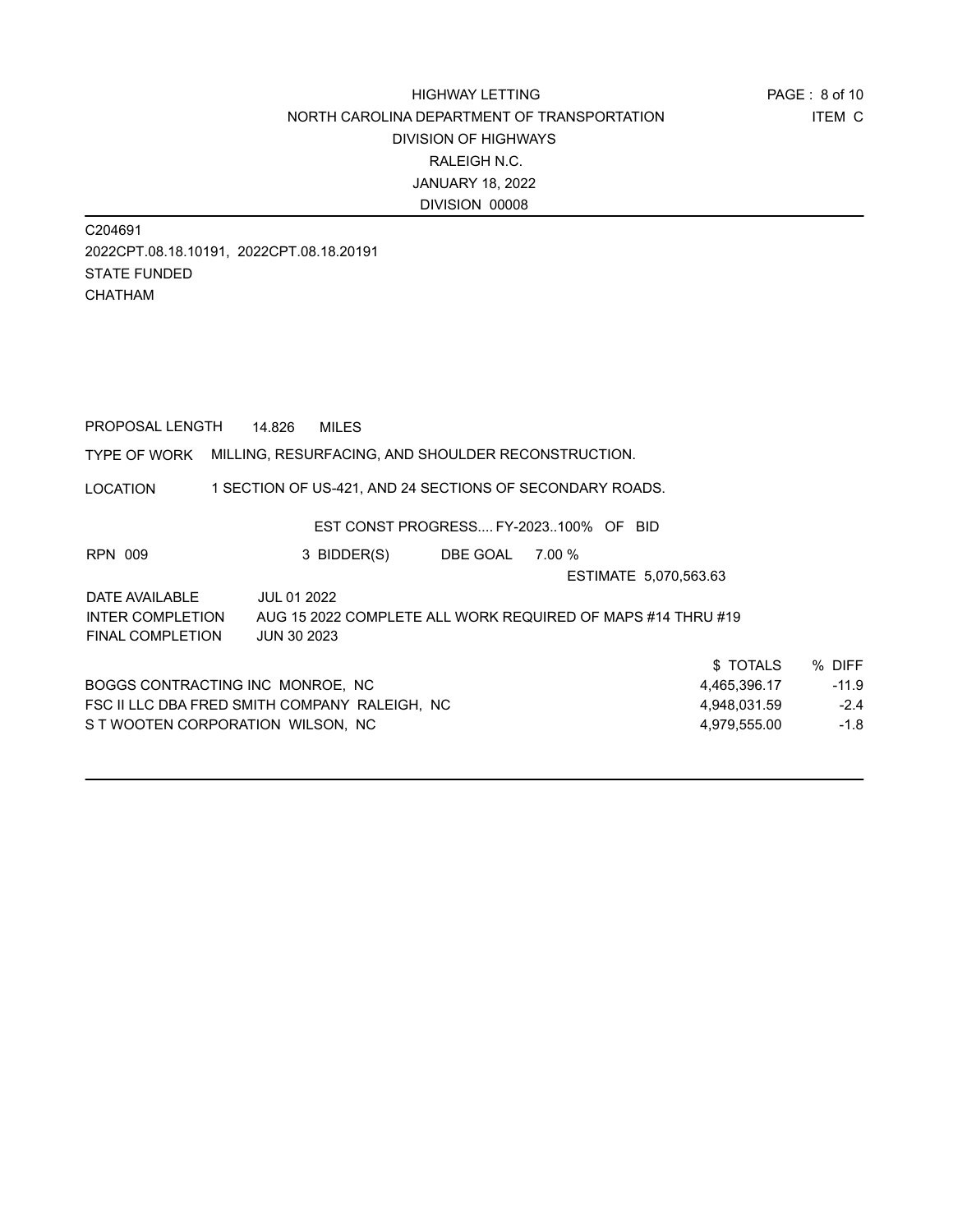C204691 2022CPT.08.18.10191, 2022CPT.08.18.20191 STATE FUNDED CHATHAM

| PROPOSAL LENGTH                               | 14.826             | <b>MILES</b>                                                |          |        |                       |              |         |
|-----------------------------------------------|--------------------|-------------------------------------------------------------|----------|--------|-----------------------|--------------|---------|
| TYPE OF WORK                                  |                    | MILLING, RESURFACING, AND SHOULDER RECONSTRUCTION.          |          |        |                       |              |         |
| LOCATION                                      |                    | 1 SECTION OF US-421, AND 24 SECTIONS OF SECONDARY ROADS.    |          |        |                       |              |         |
|                                               |                    | EST CONST PROGRESS FY-2023100% OF BID                       |          |        |                       |              |         |
| RPN 009                                       |                    | 3 BIDDER(S)                                                 | DBE GOAL | 7.00 % |                       |              |         |
|                                               |                    |                                                             |          |        | ESTIMATE 5,070,563.63 |              |         |
| DATE AVAILABLE                                | <b>JUL 01 2022</b> |                                                             |          |        |                       |              |         |
| INTER COMPLETION                              |                    | AUG 15 2022 COMPLETE ALL WORK REQUIRED OF MAPS #14 THRU #19 |          |        |                       |              |         |
| FINAL COMPLETION                              | <b>JUN 30 2023</b> |                                                             |          |        |                       |              |         |
|                                               |                    |                                                             |          |        |                       | \$ TOTALS    | % DIFF  |
| BOGGS CONTRACTING INC MONROE, NC              |                    |                                                             |          |        |                       | 4,465,396.17 | $-11.9$ |
| FSC II LLC DBA FRED SMITH COMPANY RALEIGH, NC |                    |                                                             |          |        |                       | 4,948,031.59 | $-2.4$  |
| S T WOOTEN CORPORATION WILSON, NC             |                    |                                                             |          |        |                       | 4,979,555.00 | $-1.8$  |
|                                               |                    |                                                             |          |        |                       |              |         |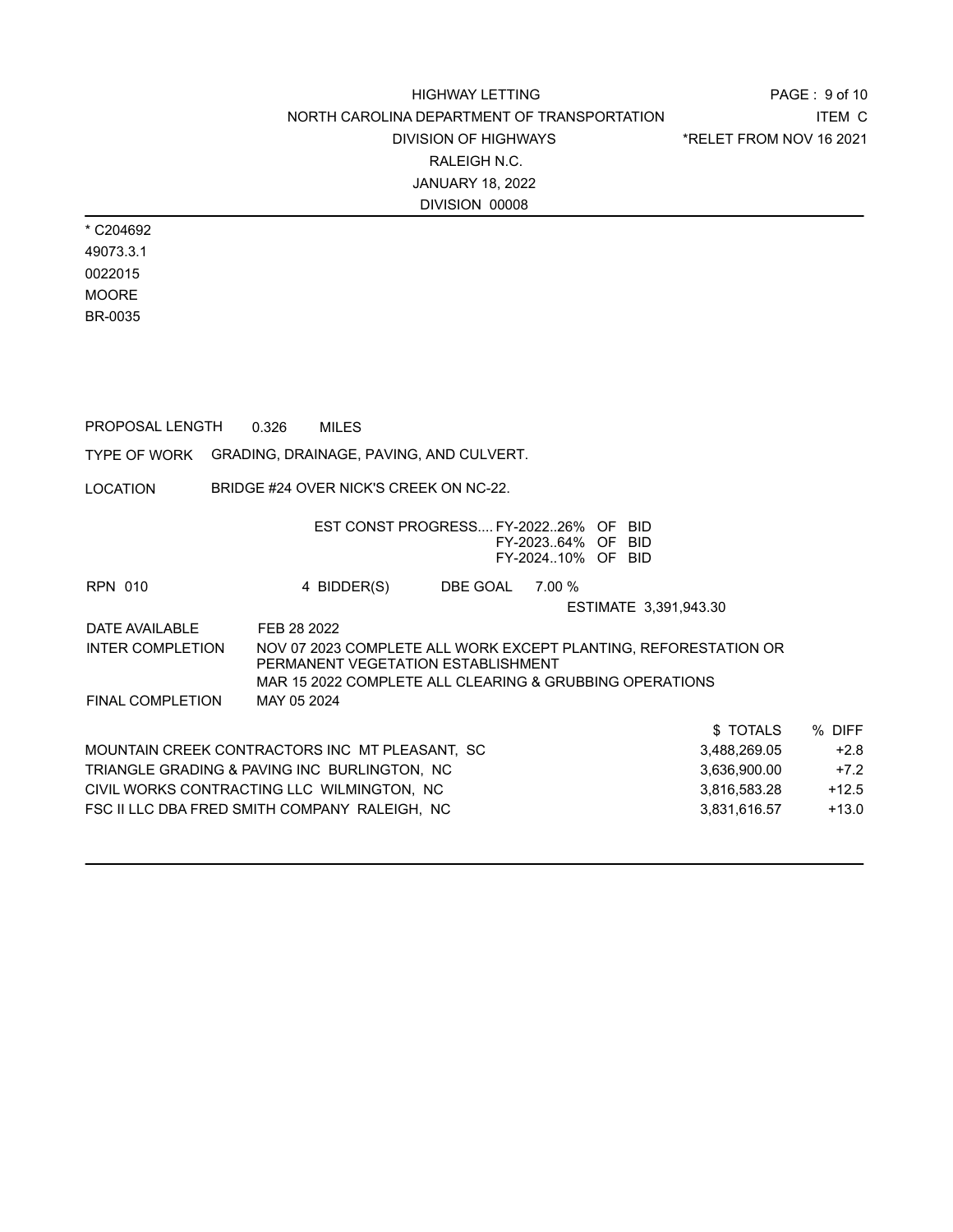PAGE : 9 of 10 ITEM C \*RELET FROM NOV 16 2021

\* C204692 49073.3.1 0022015 MOORE BR-0035

PROPOSAL LENGTH 0.326 MILES

|                         | TYPE OF WORK  GRADING, DRAINAGE, PAVING, AND CULVERT.                                                                                                            |         |
|-------------------------|------------------------------------------------------------------------------------------------------------------------------------------------------------------|---------|
| LOCATION                | BRIDGE #24 OVER NICK'S CREEK ON NC-22.                                                                                                                           |         |
|                         | EST CONST PROGRESS FY-202226% OF BID<br>FY-202364% OF BID<br>FY-202410% OF BID                                                                                   |         |
| <b>RPN 010</b>          | 4 BIDDER(S)<br>DBE GOAL<br>7.00 %                                                                                                                                |         |
|                         | ESTIMATE 3,391,943.30                                                                                                                                            |         |
| DATE AVAILABLE          | FEB 28 2022                                                                                                                                                      |         |
| <b>INTER COMPLETION</b> | NOV 07 2023 COMPLETE ALL WORK EXCEPT PLANTING, REFORESTATION OR<br>PERMANENT VEGETATION ESTABLISHMENT<br>MAR 15 2022 COMPLETE ALL CLEARING & GRUBBING OPERATIONS |         |
| <b>FINAL COMPLETION</b> | MAY 05 2024                                                                                                                                                      |         |
|                         | \$ TOTALS                                                                                                                                                        | % DIFF  |
|                         | MOUNTAIN CREEK CONTRACTORS INC MT PLEASANT, SC<br>3,488,269.05                                                                                                   | $+2.8$  |
|                         | TRIANGLE GRADING & PAVING INC BURLINGTON, NC<br>3,636,900.00                                                                                                     | $+7.2$  |
|                         | CIVIL WORKS CONTRACTING LLC  WILMINGTON,  NC<br>3,816,583.28                                                                                                     | $+12.5$ |
|                         | FSC II LLC DBA FRED SMITH COMPANY_RALEIGH,_NC<br>3,831,616.57                                                                                                    | $+13.0$ |
|                         |                                                                                                                                                                  |         |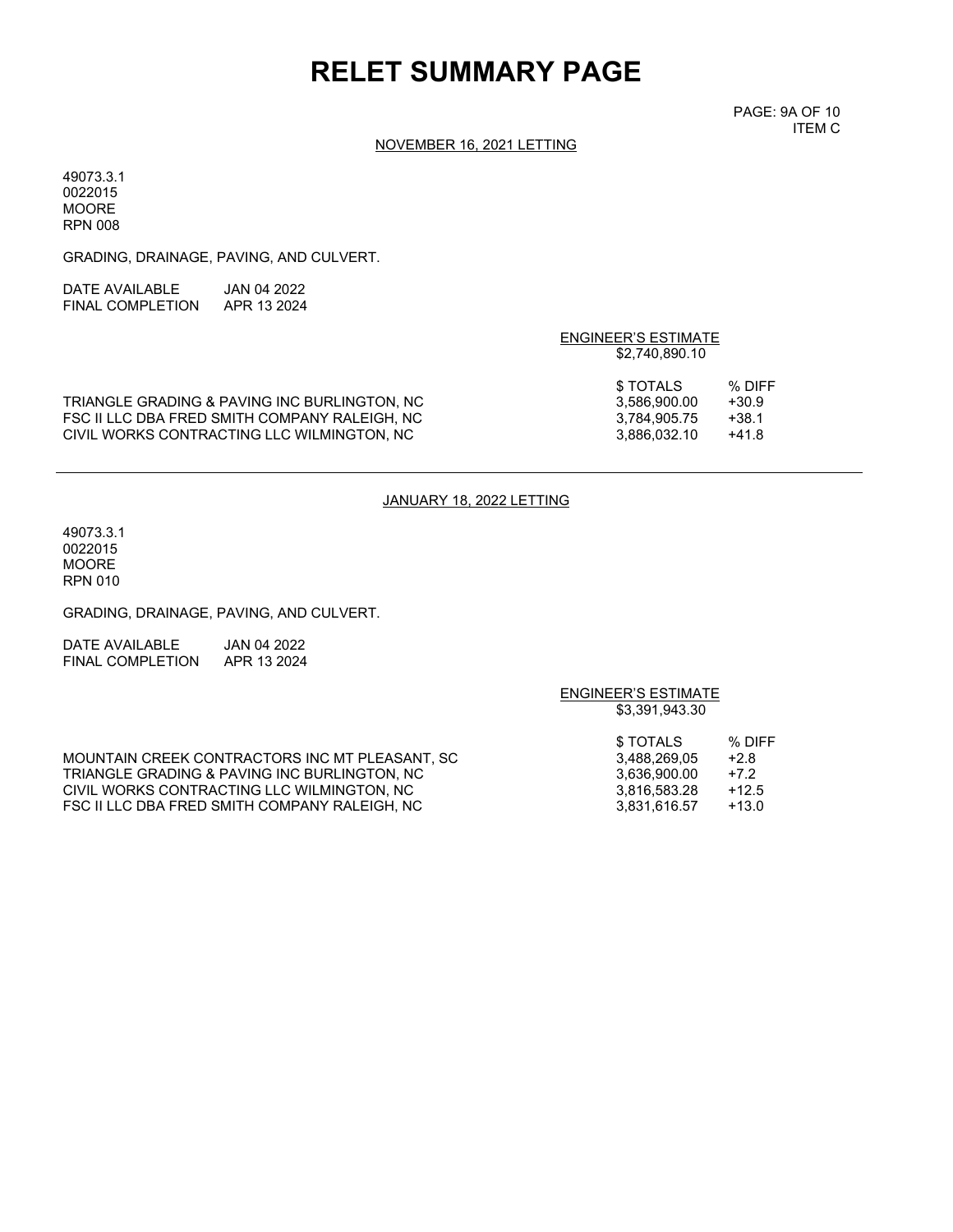# **RELET SUMMARY PAGE**

PAGE: 9A OF 10 ITEM C

### NOVEMBER 16, 2021 LETTING

49073.3.1 0022015 MOORE RPN 008

GRADING, DRAINAGE, PAVING, AND CULVERT.

| DATE AVAII ABI F | JAN 04 2022 |
|------------------|-------------|
| FINAL COMPLETION | APR 13 2024 |

### ENGINEER'S ESTIMATE \$2,740,890.10

|                                               | \$ TOTALS    | % DIFF  |
|-----------------------------------------------|--------------|---------|
| TRIANGLE GRADING & PAVING INC BURLINGTON. NC  | 3.586.900.00 | $+30.9$ |
| FSC II LLC DBA FRED SMITH COMPANY RALEIGH. NC | 3.784.905.75 | +38.1   |
| CIVIL WORKS CONTRACTING LLC WILMINGTON. NC    | 3.886.032.10 | +41.8   |

#### JANUARY 18, 2022 LETTING

49073.3.1 0022015 MOORE RPN 010

GRADING, DRAINAGE, PAVING, AND CULVERT.

| DATE AVAILABLE   | JAN 04 2022 |
|------------------|-------------|
| FINAL COMPLETION | APR 13 2024 |

## ENGINEER'S ESTIMATE \$3,391,943.30 \$ TOTALS % DIFF<br>3,488,269,05 +2.8 MOUNTAIN CREEK CONTRACTORS INC MT PLEASANT, SC  $\begin{array}{cccc} 3,488,269,05 & +2.8 \\ 78,488,269,000 & +7.2 \end{array}$ TRIANGLE GRADING & PAVING INC BURLINGTON, NC<br>CIVIL WORKS CONTRACTING LLC WILMINGTON, NC  $\begin{array}{cccc} 3,636,900.00 & +7.2 \\ 3,816,583.28 & +12.5 \end{array}$ CIVIL WORKS CONTRACTING LLC WILMINGTON, NC<br>FSC II LLC DBA FRED SMITH COMPANY RALEIGH, NC  $3,831,616.57$  +13.0 FSC II LLC DBA FRED SMITH COMPANY RALEIGH, NC